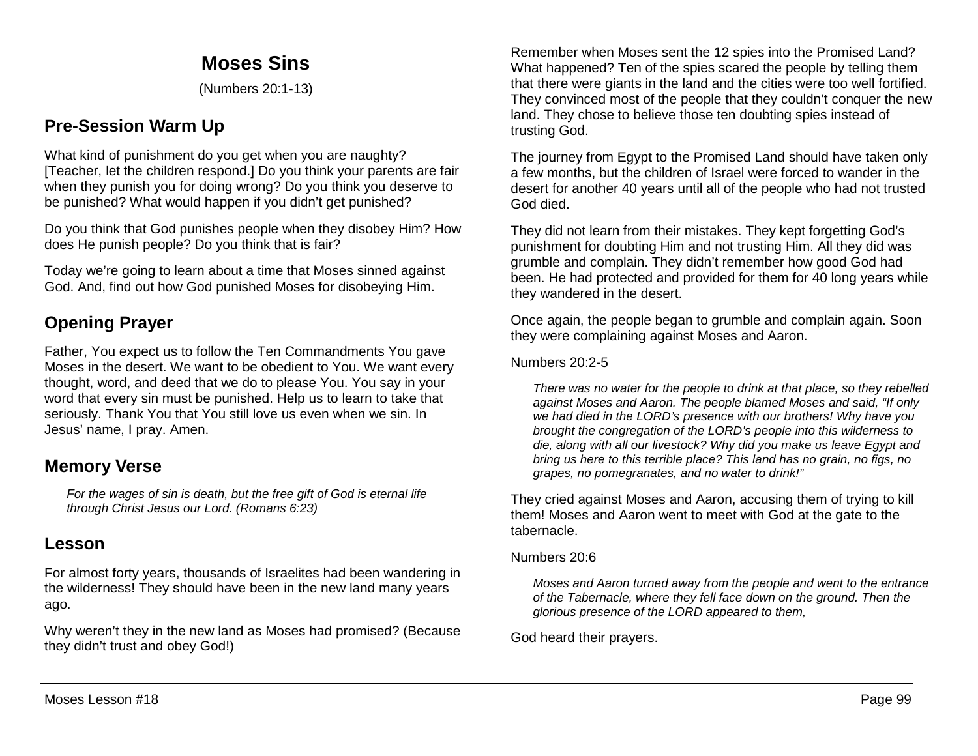# **Moses Sins**

(Numbers 20:1-13)

# **Pre-Session Warm Up**

What kind of punishment do you get when you are naughty? [Teacher, let the children respond.] Do you think your parents are fair when they punish you for doing wrong? Do you think you deserve to be punished? What would happen if you didn't get punished?

Do you think that God punishes people when they disobey Him? How does He punish people? Do you think that is fair?

Today we're going to learn about a time that Moses sinned against God. And, find out how God punished Moses for disobeying Him.

# **Opening Prayer**

Father, You expect us to follow the Ten Commandments You gave Moses in the desert. We want to be obedient to You. We want every thought, word, and deed that we do to please You. You say in your word that every sin must be punished. Help us to learn to take that seriously. Thank You that You still love us even when we sin. In Jesus' name, I pray. Amen.

# **Memory Verse**

*For the wages of sin is death, but the free gift of God is eternal life through Christ Jesus our Lord. (Romans 6:23)*

# **Lesson**

For almost forty years, thousands of Israelites had been wandering in the wilderness! They should have been in the new land many years ago.

Why weren't they in the new land as Moses had promised? (Because they didn't trust and obey God!)

Remember when Moses sent the 12 spies into the Promised Land? What happened? Ten of the spies scared the people by telling them that there were giants in the land and the cities were too well fortified. They convinced most of the people that they couldn't conquer the new land. They chose to believe those ten doubting spies instead of trusting God.

The journey from Egypt to the Promised Land should have taken only a few months, but the children of Israel were forced to wander in the desert for another 40 years until all of the people who had not trusted God died.

They did not learn from their mistakes. They kept forgetting God's punishment for doubting Him and not trusting Him. All they did was grumble and complain. They didn't remember how good God had been. He had protected and provided for them for 40 long years while they wandered in the desert.

Once again, the people began to grumble and complain again. Soon they were complaining against Moses and Aaron.

#### Numbers 20:2-5

*There was no water for the people to drink at that place, so they rebelled against Moses and Aaron. The people blamed Moses and said, "If only we had died in the LORD's presence with our brothers! Why have you brought the congregation of the LORD's people into this wilderness to die, along with all our livestock? Why did you make us leave Egypt and bring us here to this terrible place? This land has no grain, no figs, no grapes, no pomegranates, and no water to drink!"* 

They cried against Moses and Aaron, accusing them of trying to kill them! Moses and Aaron went to meet with God at the gate to the tabernacle.

#### Numbers 20:6

*Moses and Aaron turned away from the people and went to the entrance of the Tabernacle, where they fell face down on the ground. Then the glorious presence of the LORD appeared to them,*

God heard their prayers.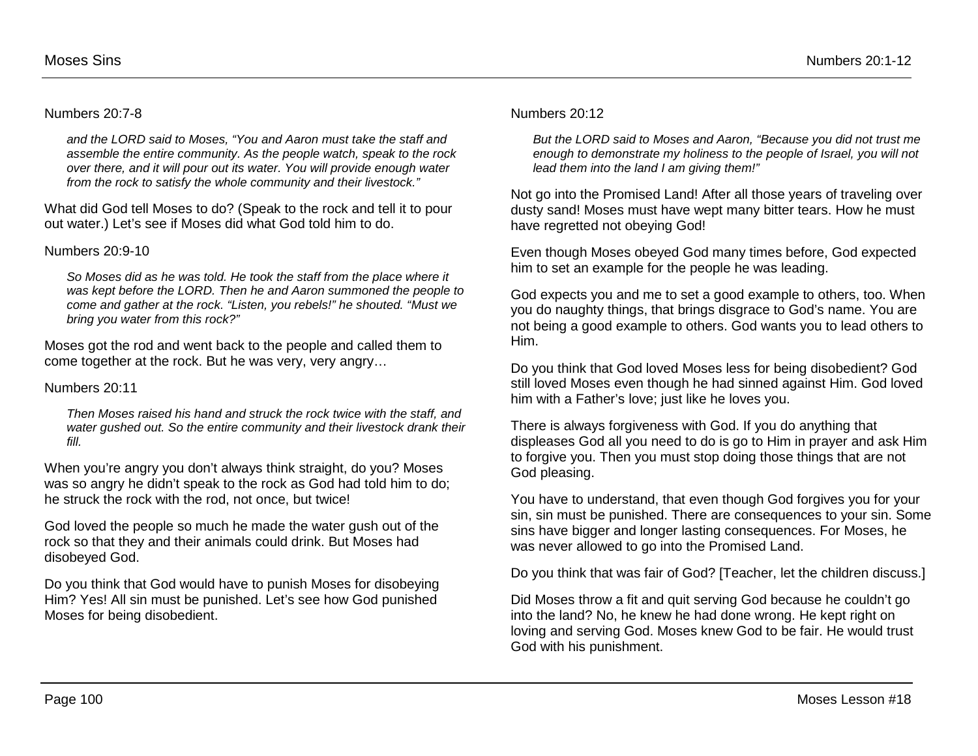#### Numbers 20:7-8

*and the LORD said to Moses, "You and Aaron must take the staff and assemble the entire community. As the people watch, speak to the rock over there, and it will pour out its water. You will provide enough water from the rock to satisfy the whole community and their livestock."* 

What did God tell Moses to do? (Speak to the rock and tell it to pour out water.) Let's see if Moses did what God told him to do.

#### Numbers 20:9-10

*So Moses did as he was told. He took the staff from the place where it was kept before the LORD. Then he and Aaron summoned the people to come and gather at the rock. "Listen, you rebels!" he shouted. "Must we bring you water from this rock?"*

Moses got the rod and went back to the people and called them to come together at the rock. But he was very, very angry…

#### Numbers 20:11

*Then Moses raised his hand and struck the rock twice with the staff, and water gushed out. So the entire community and their livestock drank their fill.*

When you're angry you don't always think straight, do you? Moses was so angry he didn't speak to the rock as God had told him to do; he struck the rock with the rod, not once, but twice!

God loved the people so much he made the water gush out of the rock so that they and their animals could drink. But Moses had disobeyed God.

Do you think that God would have to punish Moses for disobeying Him? Yes! All sin must be punished. Let's see how God punished Moses for being disobedient.

#### Numbers 20:12

*But the LORD said to Moses and Aaron, "Because you did not trust me enough to demonstrate my holiness to the people of Israel, you will not lead them into the land I am giving them!"*

Not go into the Promised Land! After all those years of traveling over dusty sand! Moses must have wept many bitter tears. How he must have regretted not obeying God!

Even though Moses obeyed God many times before, God expected him to set an example for the people he was leading.

God expects you and me to set a good example to others, too. When you do naughty things, that brings disgrace to God's name. You are not being a good example to others. God wants you to lead others to Him.

Do you think that God loved Moses less for being disobedient? God still loved Moses even though he had sinned against Him. God loved him with a Father's love; just like he loves you.

There is always forgiveness with God. If you do anything that displeases God all you need to do is go to Him in prayer and ask Him to forgive you. Then you must stop doing those things that are not God pleasing.

You have to understand, that even though God forgives you for your sin, sin must be punished. There are consequences to your sin. Some sins have bigger and longer lasting consequences. For Moses, he was never allowed to go into the Promised Land.

Do you think that was fair of God? [Teacher, let the children discuss.]

Did Moses throw a fit and quit serving God because he couldn't go into the land? No, he knew he had done wrong. He kept right on loving and serving God. Moses knew God to be fair. He would trust God with his punishment.